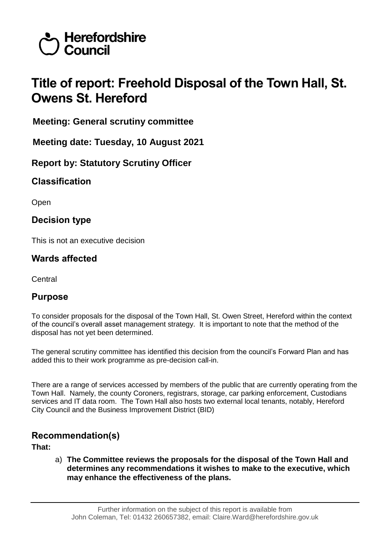

# **Title of report: Freehold Disposal of the Town Hall, St. Owens St. Hereford**

**Meeting: General scrutiny committee**

**Meeting date: Tuesday, 10 August 2021**

**Report by: Statutory Scrutiny Officer**

**Classification**

Open

**Decision type**

This is not an executive decision

## **Wards affected**

Central

## **Purpose**

To consider proposals for the disposal of the Town Hall, St. Owen Street, Hereford within the context of the council's overall asset management strategy. It is important to note that the method of the disposal has not yet been determined.

The general scrutiny committee has identified this decision from the council's Forward Plan and has added this to their work programme as pre-decision call-in.

There are a range of services accessed by members of the public that are currently operating from the Town Hall. Namely, the county Coroners, registrars, storage, car parking enforcement, Custodians services and IT data room. The Town Hall also hosts two external local tenants, notably, Hereford City Council and the Business Improvement District (BID)

## **Recommendation(s)**

**That:**

a) **The Committee reviews the proposals for the disposal of the Town Hall and determines any recommendations it wishes to make to the executive, which may enhance the effectiveness of the plans.**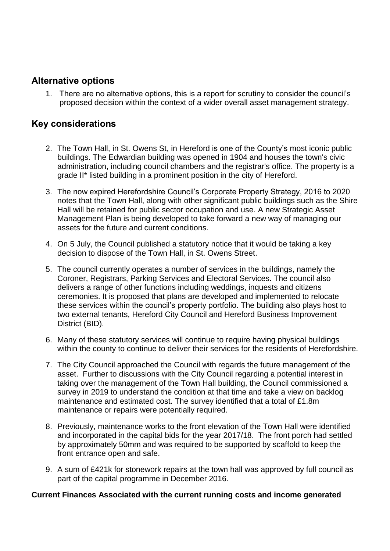## **Alternative options**

1. There are no alternative options, this is a report for scrutiny to consider the council's proposed decision within the context of a wider overall asset management strategy.

## **Key considerations**

- 2. The Town Hall, in St. Owens St, in Hereford is one of the County's most iconic public buildings. The Edwardian building was opened in 1904 and houses the town's civic administration, including council chambers and the registrar's office. The property is a grade II\* listed building in a prominent position in the city of Hereford.
- 3. The now expired Herefordshire Council's Corporate Property Strategy, 2016 to 2020 notes that the Town Hall, along with other significant public buildings such as the Shire Hall will be retained for public sector occupation and use. A new Strategic Asset Management Plan is being developed to take forward a new way of managing our assets for the future and current conditions.
- 4. On 5 July, the Council published a statutory notice that it would be taking a key decision to dispose of the Town Hall, in St. Owens Street.
- 5. The council currently operates a number of services in the buildings, namely the Coroner, Registrars, Parking Services and Electoral Services. The council also delivers a range of other functions including weddings, inquests and citizens ceremonies. It is proposed that plans are developed and implemented to relocate these services within the council's property portfolio. The building also plays host to two external tenants, Hereford City Council and Hereford Business Improvement District (BID).
- 6. Many of these statutory services will continue to require having physical buildings within the county to continue to deliver their services for the residents of Herefordshire.
- 7. The City Council approached the Council with regards the future management of the asset. Further to discussions with the City Council regarding a potential interest in taking over the management of the Town Hall building, the Council commissioned a survey in 2019 to understand the condition at that time and take a view on backlog maintenance and estimated cost. The survey identified that a total of £1.8m maintenance or repairs were potentially required.
- 8. Previously, maintenance works to the front elevation of the Town Hall were identified and incorporated in the capital bids for the year 2017/18. The front porch had settled by approximately 50mm and was required to be supported by scaffold to keep the front entrance open and safe.
- 9. A sum of £421k for stonework repairs at the town hall was approved by full council as part of the capital programme in December 2016.

#### **Current Finances Associated with the current running costs and income generated**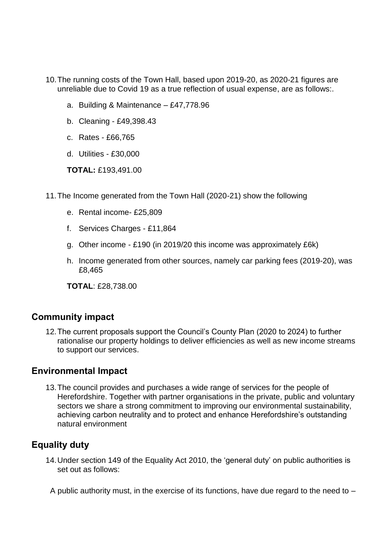- 10.The running costs of the Town Hall, based upon 2019-20, as 2020-21 figures are unreliable due to Covid 19 as a true reflection of usual expense, are as follows:.
	- a. Building & Maintenance £47,778.96
	- b. Cleaning £49,398.43
	- c. Rates £66,765
	- d. Utilities £30,000

**TOTAL:** £193,491.00

- 11.The Income generated from the Town Hall (2020-21) show the following
	- e. Rental income- £25,809
	- f. Services Charges £11,864
	- g. Other income £190 (in 2019/20 this income was approximately £6k)
	- h. Income generated from other sources, namely car parking fees (2019-20), was £8,465

**TOTAL**: £28,738.00

## **Community impact**

12.The current proposals support the Council's County Plan (2020 to 2024) to further rationalise our property holdings to deliver efficiencies as well as new income streams to support our services.

### **Environmental Impact**

13.The council provides and purchases a wide range of services for the people of Herefordshire. Together with partner organisations in the private, public and voluntary sectors we share a strong commitment to improving our environmental sustainability, achieving carbon neutrality and to protect and enhance Herefordshire's outstanding natural environment

# **Equality duty**

14.Under section 149 of the Equality Act 2010, the 'general duty' on public authorities is set out as follows:

A public authority must, in the exercise of its functions, have due regard to the need to –